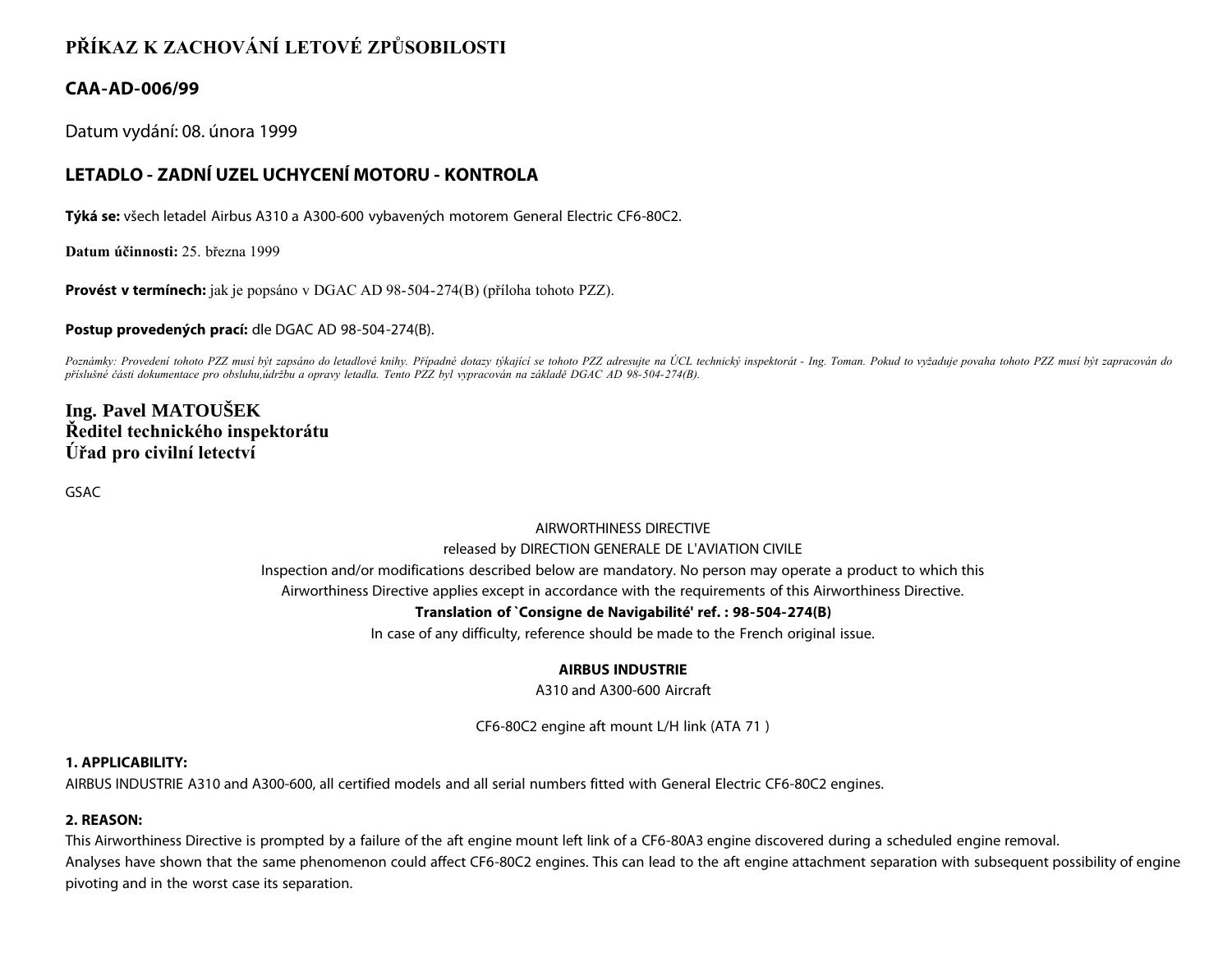# **PŘÍKAZ K ZACHOVÁNÍ LETOVÉ ZPŮSOBILOSTI**

## **CAA-AD-006/99**

Datum vydání: 08. února 1999

# **LETADLO - ZADNÍ UZEL UCHYCENÍ MOTORU - KONTROLA**

**Týká se:** všech letadel Airbus A310 a A300-600 vybavených motorem General Electric CF6-80C2.

**Datum účinnosti:** 25. března 1999

**Provést v termínech:** jak je popsáno v DGAC AD 98-504-274(B) (příloha tohoto PZZ).

**Postup provedených prací:** dle DGAC AD 98-504-274(B).

Poznámky: Provedení tohoto PZZ musí být zapsáno do letadlové knihy. Případné dotazy týkající se tohoto PZZ adresujte na ÚCL technický inspektorát - Ing. Toman. Pokud to vyžaduje povaha tohoto PZZ musí být zapracován do *příslušné části dokumentace pro obsluhu,údržbu a opravy letadla. Tento PZZ byl vypracován na základě DGAC AD 98-504-274(B).*

# **Ing. Pavel MATOUŠEK Ředitel technického inspektorátu Úřad pro civilní letectví**

GSAC

# AIRWORTHINESS DIRECTIVE

#### released by DIRECTION GENERALE DE L'AVIATION CIVILE

Inspection and/or modifications described below are mandatory. No person may operate a product to which this

Airworthiness Directive applies except in accordance with the requirements of this Airworthiness Directive.

#### **Translation of `Consigne de Navigabilité' ref. : 98-504-274(B)**

In case of any difficulty, reference should be made to the French original issue.

#### **AIRBUS INDUSTRIE**

A310 and A300-600 Aircraft

CF6-80C2 engine aft mount L/H link (ATA 71 )

#### **1. APPLICABILITY:**

AIRBUS INDUSTRIE A310 and A300-600, all certified models and all serial numbers fitted with General Electric CF6-80C2 engines.

#### **2. REASON:**

This Airworthiness Directive is prompted by a failure of the aft engine mount left link of a CF6-80A3 engine discovered during a scheduled engine removal. Analyses have shown that the same phenomenon could affect CF6-80C2 engines. This can lead to the aft engine attachment separation with subsequent possibility of engine pivoting and in the worst case its separation.